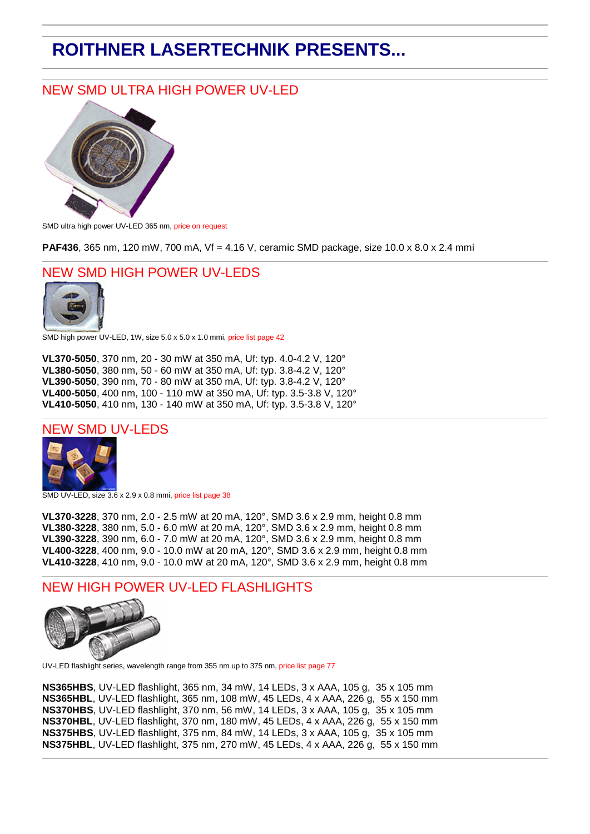# **ROITHNER LASERTECHNIK PRESENTS...**

# NEW SMD ULTRA HIGH POWER UV-LED



SMD ultra high power UV-LED 365 nm, price on request

**PAF436**, 365 nm, 120 mW, 700 mA, Vf = 4.16 V, ceramic SMD package, size 10.0 x 8.0 x 2.4 mmі

## NEW SMD HIGH POWER UV-LEDS



SMD high power UV-LED, 1W, size 5.0 x 5.0 x 1.0 mmі, price list page 42

**VL370-5050**, 370 nm, 20 - 30 mW at 350 mA, Uf: typ. 4.0-4.2 V, 120° **VL380-5050**, 380 nm, 50 - 60 mW at 350 mA, Uf: typ. 3.8-4.2 V, 120° **VL390-5050**, 390 nm, 70 - 80 mW at 350 mA, Uf: typ. 3.8-4.2 V, 120° **VL400-5050**, 400 nm, 100 - 110 mW at 350 mA, Uf: typ. 3.5-3.8 V, 120° **VL410-5050**, 410 nm, 130 - 140 mW at 350 mA, Uf: typ. 3.5-3.8 V, 120°

### NEW SMD UV-LEDS



SMD UV-LED, size 3.6 x 2.9 x 0.8 mmі, price list page 38

**VL370-3228**, 370 nm, 2.0 - 2.5 mW at 20 mA, 120°, SMD 3.6 x 2.9 mm, height 0.8 mm **VL380-3228**, 380 nm, 5.0 - 6.0 mW at 20 mA, 120°, SMD 3.6 x 2.9 mm, height 0.8 mm **VL390-3228**, 390 nm, 6.0 - 7.0 mW at 20 mA, 120°, SMD 3.6 x 2.9 mm, height 0.8 mm **VL400-3228**, 400 nm, 9.0 - 10.0 mW at 20 mA, 120°, SMD 3.6 x 2.9 mm, height 0.8 mm **VL410-3228**, 410 nm, 9.0 - 10.0 mW at 20 mA, 120°, SMD 3.6 x 2.9 mm, height 0.8 mm

### NEW HIGH POWER UV-LED FLASHLIGHTS



UV-LED flashlight series, wavelength range from 355 nm up to 375 nm, price list page 77

**NS365HBS**, UV-LED flashlight, 365 nm, 34 mW, 14 LEDs, 3 x AAA, 105 g, 35 x 105 mm **NS365HBL**, UV-LED flashlight, 365 nm, 108 mW, 45 LEDs, 4 x AAA, 226 g, 55 x 150 mm **NS370HBS**, UV-LED flashlight, 370 nm, 56 mW, 14 LEDs, 3 x AAA, 105 g, 35 x 105 mm **NS370HBL**, UV-LED flashlight, 370 nm, 180 mW, 45 LEDs, 4 x AAA, 226 g, 55 x 150 mm **NS375HBS**, UV-LED flashlight, 375 nm, 84 mW, 14 LEDs, 3 x AAA, 105 g, 35 x 105 mm **NS375HBL**, UV-LED flashlight, 375 nm, 270 mW, 45 LEDs, 4 x AAA, 226 g, 55 x 150 mm